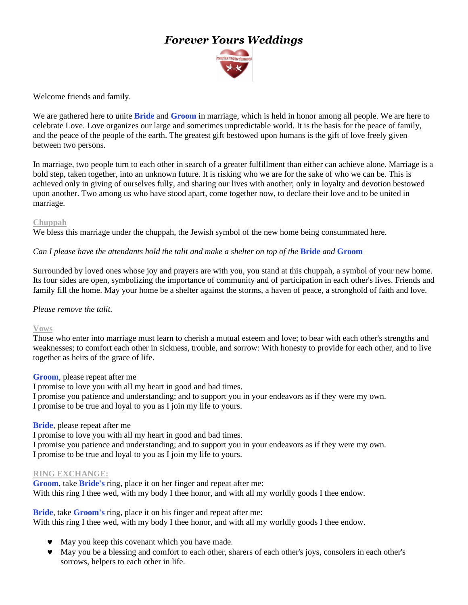# *Forever Yours Weddings*



Welcome friends and family.

We are gathered here to unite **Bride** and **Groom** in marriage, which is held in honor among all people. We are here to celebrate Love. Love organizes our large and sometimes unpredictable world. It is the basis for the peace of family, and the peace of the people of the earth. The greatest gift bestowed upon humans is the gift of love freely given between two persons.

In marriage, two people turn to each other in search of a greater fulfillment than either can achieve alone. Marriage is a bold step, taken together, into an unknown future. It is risking who we are for the sake of who we can be. This is achieved only in giving of ourselves fully, and sharing our lives with another; only in loyalty and devotion bestowed upon another. Two among us who have stood apart, come together now, to declare their love and to be united in marriage.

## **Chuppah**

We bless this marriage under the chuppah, the Jewish symbol of the new home being consummated here.

## *Can I please have the attendants hold the talit and make a shelter on top of the* **Bride** *and* **Groom**

Surrounded by loved ones whose joy and prayers are with you, you stand at this chuppah, a symbol of your new home. Its four sides are open, symbolizing the importance of community and of participation in each other's lives. Friends and family fill the home. May your home be a shelter against the storms, a haven of peace, a stronghold of faith and love.

## *Please remove the talit.*

## **Vows**

Those who enter into marriage must learn to cherish a mutual esteem and love; to bear with each other's strengths and weaknesses; to comfort each other in sickness, trouble, and sorrow: With honesty to provide for each other, and to live together as heirs of the grace of life.

## **Groom**, please repeat after me

I promise to love you with all my heart in good and bad times.

I promise you patience and understanding; and to support you in your endeavors as if they were my own. I promise to be true and loyal to you as I join my life to yours.

#### **Bride**, please repeat after me

I promise to love you with all my heart in good and bad times. I promise you patience and understanding; and to support you in your endeavors as if they were my own. I promise to be true and loyal to you as I join my life to yours.

#### **RING EXCHANGE:**

**Groom**, take **Bride's** ring, place it on her finger and repeat after me: With this ring I thee wed, with my body I thee honor, and with all my worldly goods I thee endow.

**Bride**, take **Groom's** ring, place it on his finger and repeat after me:

With this ring I thee wed, with my body I thee honor, and with all my worldly goods I thee endow.

- $\bullet$  May you keep this covenant which you have made.
- May you be a blessing and comfort to each other, sharers of each other's joys, consolers in each other's sorrows, helpers to each other in life.